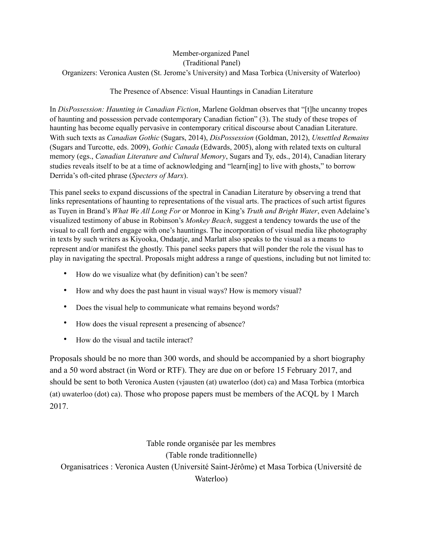## Member-organized Panel (Traditional Panel) Organizers: Veronica Austen (St. Jerome's University) and Masa Torbica (University of Waterloo)

## The Presence of Absence: Visual Hauntings in Canadian Literature

In *DisPossession: Haunting in Canadian Fiction*, Marlene Goldman observes that "[t]he uncanny tropes of haunting and possession pervade contemporary Canadian fiction" (3). The study of these tropes of haunting has become equally pervasive in contemporary critical discourse about Canadian Literature. With such texts as *Canadian Gothic* (Sugars, 2014), *DisPossession* (Goldman, 2012), *Unsettled Remains* (Sugars and Turcotte, eds. 2009), *Gothic Canada* (Edwards, 2005), along with related texts on cultural memory (egs., *Canadian Literature and Cultural Memory*, Sugars and Ty, eds., 2014), Canadian literary studies reveals itself to be at a time of acknowledging and "learn[ing] to live with ghosts," to borrow Derrida's oft-cited phrase (*Specters of Marx*).

This panel seeks to expand discussions of the spectral in Canadian Literature by observing a trend that links representations of haunting to representations of the visual arts. The practices of such artist figures as Tuyen in Brand's *What We All Long For* or Monroe in King's *Truth and Bright Water*, even Adelaine's visualized testimony of abuse in Robinson's *Monkey Beach*, suggest a tendency towards the use of the visual to call forth and engage with one's hauntings. The incorporation of visual media like photography in texts by such writers as Kiyooka, Ondaatje, and Marlatt also speaks to the visual as a means to represent and/or manifest the ghostly. This panel seeks papers that will ponder the role the visual has to play in navigating the spectral. Proposals might address a range of questions, including but not limited to:

- How do we visualize what (by definition) can't be seen?
- How and why does the past haunt in visual ways? How is memory visual?
- Does the visual help to communicate what remains beyond words?
- How does the visual represent a presencing of absence?
- How do the visual and tactile interact?

Proposals should be no more than 300 words, and should be accompanied by a short biography and a 50 word abstract (in Word or RTF). They are due on or before 15 February 2017, and should be sent to both Veronica Austen (vjausten (at) uwaterloo (dot) ca) and Masa Torbica (mtorbica (at) uwaterloo (dot) ca). Those who propose papers must be members of the ACQL by 1 March 2017.

Table ronde organisée par les membres (Table ronde traditionnelle) Organisatrices : Veronica Austen (Université Saint-Jérôme) et Masa Torbica (Université de Waterloo)